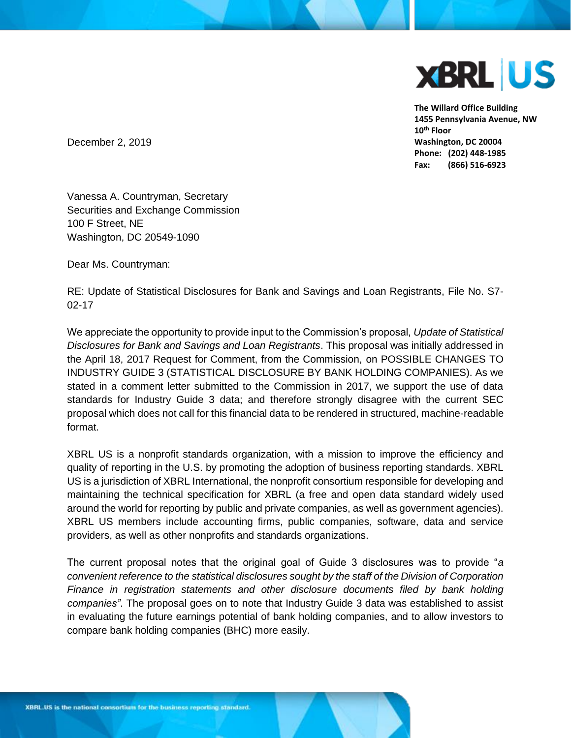

**The Willard Office Building 1455 Pennsylvania Avenue, NW 10th Floor Washington, DC 20004 Phone: (202) 448-1985 Fax: (866) 516-6923**

December 2, 2019

Vanessa A. Countryman, Secretary Securities and Exchange Commission 100 F Street, NE Washington, DC 20549-1090

Dear Ms. Countryman:

RE: Update of Statistical Disclosures for Bank and Savings and Loan Registrants, File No. S7- 02-17

We appreciate the opportunity to provide input to the Commission's proposal, *Update of Statistical Disclosures for Bank and Savings and Loan Registrants*. This proposal was initially addressed in the April 18, 2017 Request for Comment, from the Commission, on POSSIBLE CHANGES TO INDUSTRY GUIDE 3 (STATISTICAL DISCLOSURE BY BANK HOLDING COMPANIES). As we stated in a comment letter submitted to the Commission in 2017, we support the use of data standards for Industry Guide 3 data; and therefore strongly disagree with the current SEC proposal which does not call for this financial data to be rendered in structured, machine-readable format.

XBRL US is a nonprofit standards organization, with a mission to improve the efficiency and quality of reporting in the U.S. by promoting the adoption of business reporting standards. XBRL US is a jurisdiction of XBRL International, the nonprofit consortium responsible for developing and maintaining the technical specification for XBRL (a free and open data standard widely used around the world for reporting by public and private companies, as well as government agencies). XBRL US members include accounting firms, public companies, software, data and service providers, as well as other nonprofits and standards organizations.

The current proposal notes that the original goal of Guide 3 disclosures was to provide "*a convenient reference to the statistical disclosures sought by the staff of the Division of Corporation Finance in registration statements and other disclosure documents filed by bank holding companies"*. The proposal goes on to note that Industry Guide 3 data was established to assist in evaluating the future earnings potential of bank holding companies, and to allow investors to compare bank holding companies (BHC) more easily.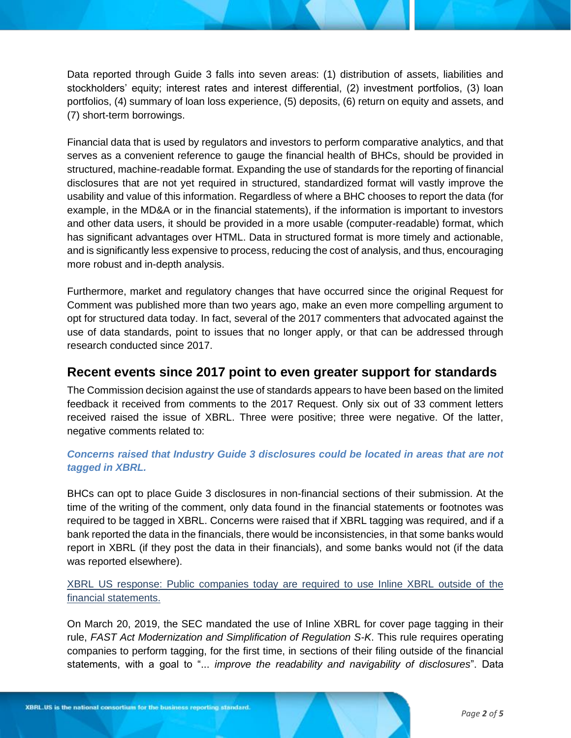Data reported through Guide 3 falls into seven areas: (1) distribution of assets, liabilities and stockholders' equity; interest rates and interest differential, (2) investment portfolios, (3) loan portfolios, (4) summary of loan loss experience, (5) deposits, (6) return on equity and assets, and (7) short-term borrowings.

Financial data that is used by regulators and investors to perform comparative analytics, and that serves as a convenient reference to gauge the financial health of BHCs, should be provided in structured, machine-readable format. Expanding the use of standards for the reporting of financial disclosures that are not yet required in structured, standardized format will vastly improve the usability and value of this information. Regardless of where a BHC chooses to report the data (for example, in the MD&A or in the financial statements), if the information is important to investors and other data users, it should be provided in a more usable (computer-readable) format, which has significant advantages over HTML. Data in structured format is more timely and actionable, and is significantly less expensive to process, reducing the cost of analysis, and thus, encouraging more robust and in-depth analysis.

Furthermore, market and regulatory changes that have occurred since the original Request for Comment was published more than two years ago, make an even more compelling argument to opt for structured data today. In fact, several of the 2017 commenters that advocated against the use of data standards, point to issues that no longer apply, or that can be addressed through research conducted since 2017.

# **Recent events since 2017 point to even greater support for standards**

The Commission decision against the use of standards appears to have been based on the limited feedback it received from comments to the 2017 Request. Only six out of 33 comment letters received raised the issue of XBRL. Three were positive; three were negative. Of the latter, negative comments related to:

### *Concerns raised that Industry Guide 3 disclosures could be located in areas that are not tagged in XBRL.*

BHCs can opt to place Guide 3 disclosures in non-financial sections of their submission. At the time of the writing of the comment, only data found in the financial statements or footnotes was required to be tagged in XBRL. Concerns were raised that if XBRL tagging was required, and if a bank reported the data in the financials, there would be inconsistencies, in that some banks would report in XBRL (if they post the data in their financials), and some banks would not (if the data was reported elsewhere).

XBRL US response: Public companies today are required to use Inline XBRL outside of the financial statements.

On March 20, 2019, the SEC mandated the use of Inline XBRL for cover page tagging in their rule, *[FAST Act Modernization and Simplification of Regulation S-K](https://www.sec.gov/rules/proposed/2017/33-10425.pdf)*. This rule requires operating companies to perform tagging, for the first time, in sections of their filing outside of the financial statements, with a goal to "... *improve the readability and navigability of disclosures*". Data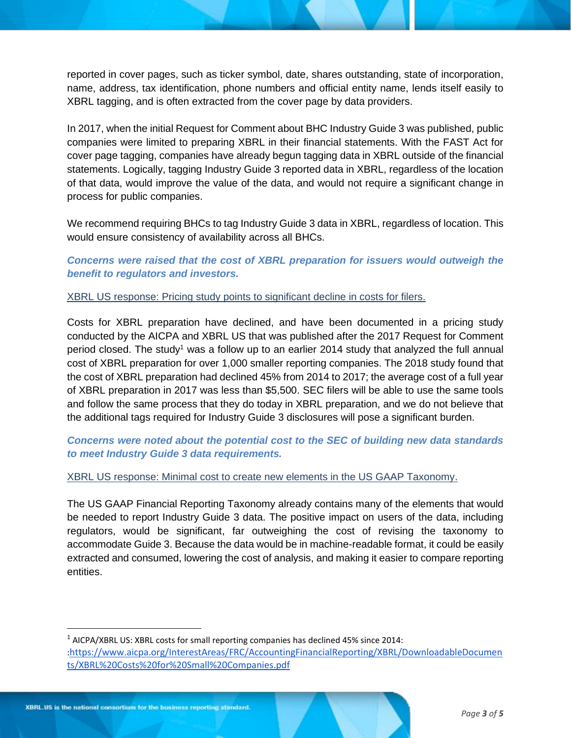reported in cover pages, such as ticker symbol, date, shares outstanding, state of incorporation, name, address, tax identification, phone numbers and official entity name, lends itself easily to XBRL tagging, and is often extracted from the cover page by data providers.

In 2017, when the initial Request for Comment about BHC Industry Guide 3 was published, public companies were limited to preparing XBRL in their financial statements. With the FAST Act for cover page tagging, companies have already begun tagging data in XBRL outside of the financial statements. Logically, tagging Industry Guide 3 reported data in XBRL, regardless of the location of that data, would improve the value of the data, and would not require a significant change in process for public companies.

We recommend requiring BHCs to tag Industry Guide 3 data in XBRL, regardless of location. This would ensure consistency of availability across all BHCs.

*Concerns were raised that the cost of XBRL preparation for issuers would outweigh the benefit to regulators and investors.*

XBRL US response: Pricing study points to significant decline in costs for filers.

Costs for XBRL preparation have declined, and have been documented in a pricing study conducted by the AICPA and XBRL US that was published after the 2017 Request for Comment period closed. The study<sup>1</sup> was a follow up to an earlier 2014 study that analyzed the full annual cost of XBRL preparation for over 1,000 smaller reporting companies. The 2018 study found that the cost of XBRL preparation had declined 45% from 2014 to 2017; the average cost of a full year of XBRL preparation in 2017 was less than \$5,500. SEC filers will be able to use the same tools and follow the same process that they do today in XBRL preparation, and we do not believe that the additional tags required for Industry Guide 3 disclosures will pose a significant burden.

*Concerns were noted about the potential cost to the SEC of building new data standards to meet Industry Guide 3 data requirements.* 

XBRL US response: Minimal cost to create new elements in the US GAAP Taxonomy.

The US GAAP Financial Reporting Taxonomy already contains many of the elements that would be needed to report Industry Guide 3 data. The positive impact on users of the data, including regulators, would be significant, far outweighing the cost of revising the taxonomy to accommodate Guide 3. Because the data would be in machine-readable format, it could be easily extracted and consumed, lowering the cost of analysis, and making it easier to compare reporting entities.

 $1$  AICPA/XBRL US: XBRL costs for small reporting companies has declined 45% since 2014: :[https://www.aicpa.org/InterestAreas/FRC/AccountingFinancialReporting/XBRL/DownloadableDocumen](https://www.aicpa.org/InterestAreas/FRC/AccountingFinancialReporting/XBRL/DownloadableDocuments/XBRL%20Costs%20for%20Small%20Companies.pdf) [ts/XBRL%20Costs%20for%20Small%20Companies.pdf](https://www.aicpa.org/InterestAreas/FRC/AccountingFinancialReporting/XBRL/DownloadableDocuments/XBRL%20Costs%20for%20Small%20Companies.pdf)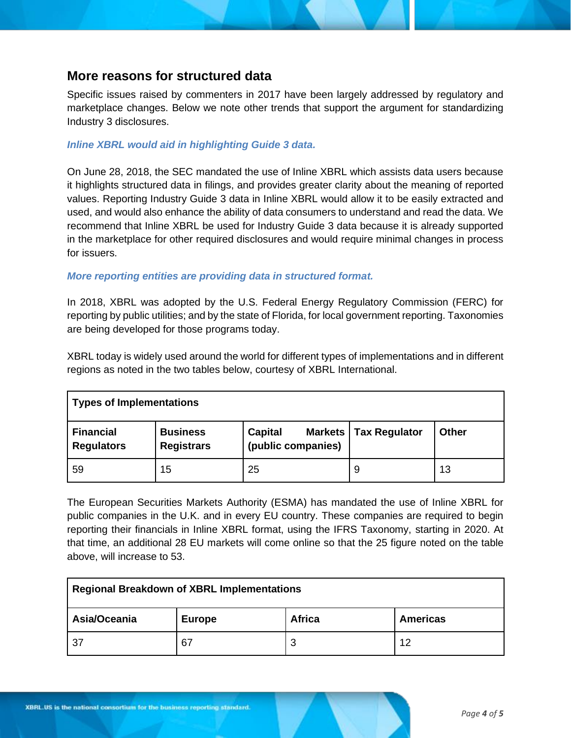# **More reasons for structured data**

Specific issues raised by commenters in 2017 have been largely addressed by regulatory and marketplace changes. Below we note other trends that support the argument for standardizing Industry 3 disclosures.

#### *Inline XBRL would aid in highlighting Guide 3 data.*

On June 28, 2018, the SEC mandated the use of Inline XBRL which assists data users because it highlights structured data in filings, and provides greater clarity about the meaning of reported values. Reporting Industry Guide 3 data in Inline XBRL would allow it to be easily extracted and used, and would also enhance the ability of data consumers to understand and read the data. We recommend that Inline XBRL be used for Industry Guide 3 data because it is already supported in the marketplace for other required disclosures and would require minimal changes in process for issuers.

#### *More reporting entities are providing data in structured format.*

In 2018, XBRL was adopted by the U.S. Federal Energy Regulatory Commission (FERC) for reporting by public utilities; and by the state of Florida, for local government reporting. Taxonomies are being developed for those programs today.

XBRL today is widely used around the world for different types of implementations and in different regions as noted in the two tables below, courtesy of XBRL International.

| <b>Types of Implementations</b>       |                                      |                               |                         |              |  |  |
|---------------------------------------|--------------------------------------|-------------------------------|-------------------------|--------------|--|--|
| <b>Financial</b><br><b>Regulators</b> | <b>Business</b><br><b>Registrars</b> | Capital<br>(public companies) | Markets   Tax Regulator | <b>Other</b> |  |  |
| 59                                    | 15                                   | 25                            | 9                       | 13           |  |  |

The European Securities Markets Authority (ESMA) has mandated the use of Inline XBRL for public companies in the U.K. and in every EU country. These companies are required to begin reporting their financials in Inline XBRL format, using the IFRS Taxonomy, starting in 2020. At that time, an additional 28 EU markets will come online so that the 25 figure noted on the table above, will increase to 53.

| <b>Regional Breakdown of XBRL Implementations</b> |               |             |                 |  |  |
|---------------------------------------------------|---------------|-------------|-----------------|--|--|
| Asia/Oceania                                      | <b>Europe</b> | Africa      | <b>Americas</b> |  |  |
| -37                                               | 67            | £<br>$\sim$ | 12              |  |  |